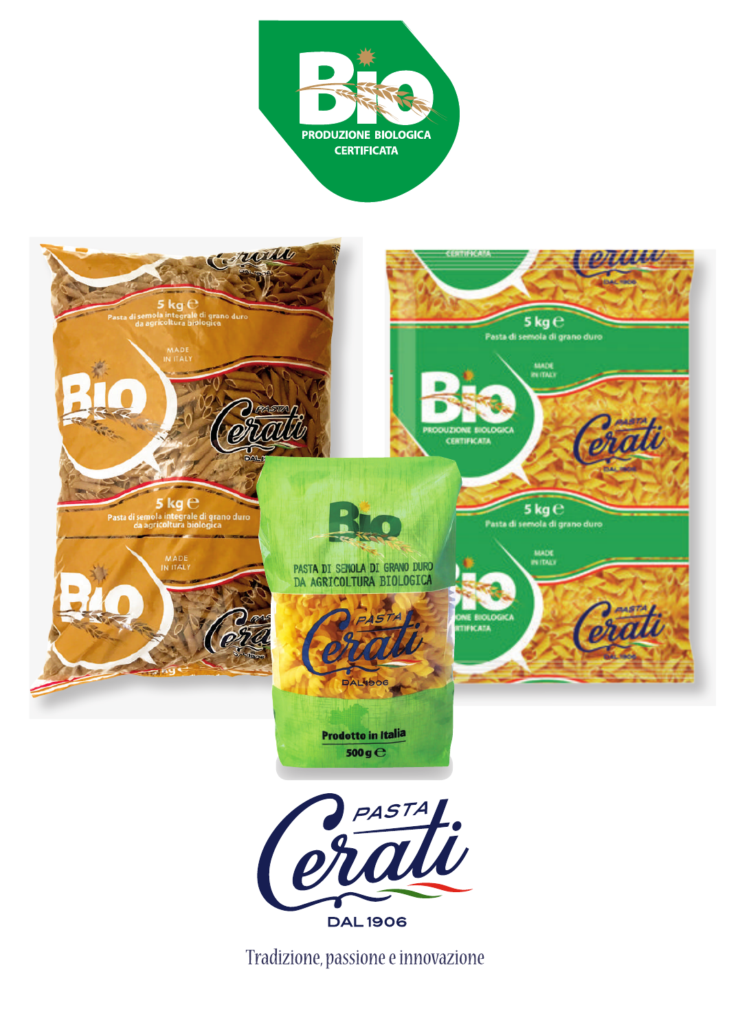



Tradizione, passione e innovazione